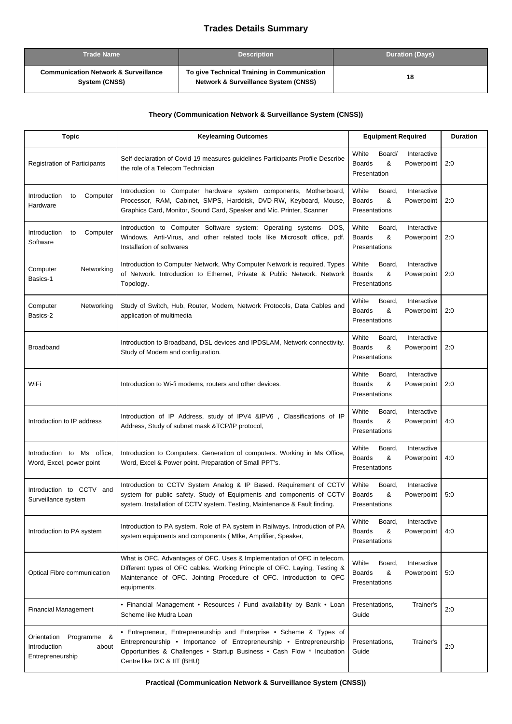## **Trades Details Summary**

| <b>Trade Name</b>                                                | <b>Description</b>                                                                             | <b>Duration (Days)</b> |
|------------------------------------------------------------------|------------------------------------------------------------------------------------------------|------------------------|
| <b>Communication Network &amp; Surveillance</b><br>System (CNSS) | To give Technical Training in Communication<br><b>Network &amp; Surveillance System (CNSS)</b> | 18                     |

## **Theory (Communication Network & Surveillance System (CNSS))**

| <b>Topic</b>                                                            | <b>Keylearning Outcomes</b>                                                                                                                                                                                                                          | <b>Equipment Required</b>                                                           | <b>Duration</b> |
|-------------------------------------------------------------------------|------------------------------------------------------------------------------------------------------------------------------------------------------------------------------------------------------------------------------------------------------|-------------------------------------------------------------------------------------|-----------------|
| <b>Registration of Participants</b>                                     | Self-declaration of Covid-19 measures guidelines Participants Profile Describe<br>the role of a Telecom Technician                                                                                                                                   | White<br>Board/<br>Interactive<br><b>Boards</b><br>&<br>Powerpoint<br>Presentation  | 2:0             |
| Introduction<br>Computer<br>to<br>Hardware                              | Introduction to Computer hardware system components, Motherboard,<br>Processor, RAM, Cabinet, SMPS, Harddisk, DVD-RW, Keyboard, Mouse,<br>Graphics Card, Monitor, Sound Card, Speaker and Mic. Printer, Scanner                                      | White<br>Board,<br>Interactive<br><b>Boards</b><br>&<br>Powerpoint<br>Presentations | 2:0             |
| Introduction<br>Computer<br>to<br>Software                              | Introduction to Computer Software system: Operating systems- DOS,<br>Windows, Anti-Virus, and other related tools like Microsoft office, pdf.<br>Installation of softwares                                                                           | White<br>Board,<br>Interactive<br><b>Boards</b><br>&<br>Powerpoint<br>Presentations | 2:0             |
| Computer<br>Networking<br>Basics-1                                      | Introduction to Computer Network, Why Computer Network is required, Types<br>of Network. Introduction to Ethernet, Private & Public Network. Network<br>Topology.                                                                                    | White<br>Board,<br>Interactive<br><b>Boards</b><br>&<br>Powerpoint<br>Presentations | 2:0             |
| Computer<br>Networking<br>Basics-2                                      | Study of Switch, Hub, Router, Modem, Network Protocols, Data Cables and<br>application of multimedia                                                                                                                                                 | White<br>Board,<br>Interactive<br><b>Boards</b><br>&<br>Powerpoint<br>Presentations | 2:0             |
| <b>Broadband</b>                                                        | Introduction to Broadband, DSL devices and IPDSLAM, Network connectivity.<br>Study of Modem and configuration.                                                                                                                                       | White<br>Interactive<br>Board,<br><b>Boards</b><br>&<br>Powerpoint<br>Presentations | 2:0             |
| WiFi                                                                    | Introduction to Wi-fi modems, routers and other devices.                                                                                                                                                                                             | White<br>Board,<br>Interactive<br><b>Boards</b><br>&<br>Powerpoint<br>Presentations | 2:0             |
| Introduction to IP address                                              | Introduction of IP Address, study of IPV4 &IPV6, Classifications of IP<br>Address, Study of subnet mask &TCP/IP protocol,                                                                                                                            | White<br>Interactive<br>Board,<br>&<br><b>Boards</b><br>Powerpoint<br>Presentations | 4:0             |
| Introduction to Ms office,<br>Word, Excel, power point                  | Introduction to Computers. Generation of computers. Working in Ms Office,<br>Word, Excel & Power point. Preparation of Small PPT's.                                                                                                                  | White<br>Interactive<br>Board,<br><b>Boards</b><br>&<br>Powerpoint<br>Presentations | 4:0             |
| Introduction to CCTV and<br>Surveillance system                         | Introduction to CCTV System Analog & IP Based. Requirement of CCTV<br>system for public safety. Study of Equipments and components of CCTV<br>system. Installation of CCTV system. Testing, Maintenance & Fault finding.                             | White<br>Board,<br>Interactive<br><b>Boards</b><br>&<br>Powerpoint<br>Presentations | 5:0             |
| Introduction to PA system                                               | Introduction to PA system. Role of PA system in Railways. Introduction of PA<br>system equipments and components (MIke, Amplifier, Speaker,                                                                                                          | White<br>Board,<br>Interactive<br><b>Boards</b><br>&<br>Powerpoint<br>Presentations | 4:0             |
| Optical Fibre communication                                             | What is OFC. Advantages of OFC. Uses & Implementation of OFC in telecom.<br>Different types of OFC cables. Working Principle of OFC. Laying, Testing &<br>Maintenance of OFC. Jointing Procedure of OFC. Introduction to OFC<br>equipments.          | White<br>Board,<br>Interactive<br><b>Boards</b><br>&<br>Powerpoint<br>Presentations | 5:0             |
| <b>Financial Management</b>                                             | • Financial Management • Resources / Fund availability by Bank • Loan<br>Scheme like Mudra Loan                                                                                                                                                      | Presentations,<br>Trainer's<br>Guide                                                | 2:0             |
| Orientation<br>Programme &<br>Introduction<br>about<br>Entrepreneurship | • Entrepreneur, Entrepreneurship and Enterprise • Scheme & Types of<br>Entrepreneurship • Importance of Entrepreneurship • Entrepreneurship<br>Opportunities & Challenges . Startup Business . Cash Flow * Incubation<br>Centre like DIC & IIT (BHU) | Presentations,<br>Trainer's<br>Guide                                                | 2:0             |